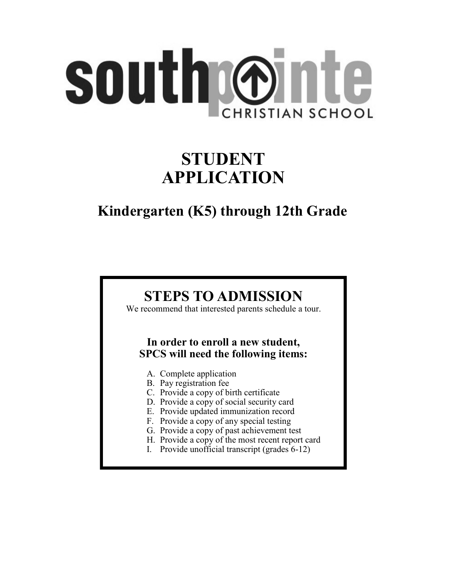# southrønte **CHRISTIAN SCHOOL**

## **STUDENT APPLICATION**

## **Kindergarten (K5) through 12th Grade**

## **STEPS TO ADMISSION**

We recommend that interested parents schedule a tour.

#### **In order to enroll a new student, SPCS will need the following items:**

- A. Complete application
- B. Pay registration fee
- C. Provide a copy of birth certificate
- D. Provide a copy of social security card
- E. Provide updated immunization record
- F. Provide a copy of any special testing
- G. Provide a copy of past achievement test
- H. Provide a copy of the most recent report card
- I. Provide unofficial transcript (grades 6-12)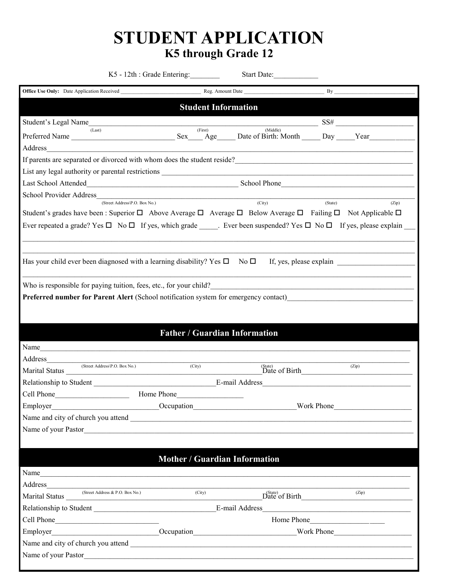## **STUDENT APPLICATION K5 through Grade 12**

|                                                                                                                                                                                                                                | K5 - 12th : Grade Entering:                                     | Start Date:                    |                                             |
|--------------------------------------------------------------------------------------------------------------------------------------------------------------------------------------------------------------------------------|-----------------------------------------------------------------|--------------------------------|---------------------------------------------|
| Office Use Only: Date Application Received                                                                                                                                                                                     |                                                                 | Reg. Amount Date               | By                                          |
|                                                                                                                                                                                                                                | <b>Student Information</b>                                      |                                |                                             |
| Student's Legal Name                                                                                                                                                                                                           |                                                                 |                                | $SS\#$                                      |
| (Last)                                                                                                                                                                                                                         | (First)                                                         | (Middle)                       |                                             |
| Address                                                                                                                                                                                                                        |                                                                 |                                |                                             |
| If parents are separated or divorced with whom does the student reside?<br>The manufactured or divorced with whom does the student reside?<br>The manufactured or divorced with whom does the student reside?                  |                                                                 |                                |                                             |
|                                                                                                                                                                                                                                |                                                                 |                                |                                             |
| Last School Attended School Phone School Phone School Phone School Phone School Phone School Phone School Phone School Phone School Phone School Phone School Phone School Phone School Phone School Phone School Phone School |                                                                 |                                |                                             |
| School Provider Address                                                                                                                                                                                                        | <u> 1989 - Johann Barn, mars an t-Amerikaansk komponister (</u> |                                |                                             |
| (Street Address\P.O. Box No.)                                                                                                                                                                                                  |                                                                 | $\overline{(City)}$            | (State)<br>(Zip)                            |
| Student's grades have been : Superior $\Box$ Above Average $\Box$ Average $\Box$ Below Average $\Box$ Failing $\Box$ Not Applicable $\Box$                                                                                     |                                                                 |                                |                                             |
| Ever repeated a grade? Yes □ No □ If yes, which grade _____. Ever been suspended? Yes □ No □ If yes, please explain                                                                                                            |                                                                 |                                |                                             |
|                                                                                                                                                                                                                                |                                                                 |                                |                                             |
| Has your child ever been diagnosed with a learning disability? Yes $\Box$ No $\Box$ If, yes, please explain                                                                                                                    |                                                                 |                                |                                             |
|                                                                                                                                                                                                                                |                                                                 |                                |                                             |
| Who is responsible for paying tuition, fees, etc., for your child?                                                                                                                                                             |                                                                 |                                |                                             |
| Preferred number for Parent Alert (School notification system for emergency contact)                                                                                                                                           |                                                                 |                                |                                             |
|                                                                                                                                                                                                                                |                                                                 |                                |                                             |
|                                                                                                                                                                                                                                |                                                                 |                                |                                             |
|                                                                                                                                                                                                                                | <b>Father / Guardian Information</b>                            |                                |                                             |
| Name                                                                                                                                                                                                                           |                                                                 |                                |                                             |
| Address (Street Address\P.O. Box No.)                                                                                                                                                                                          | (City)                                                          |                                | (Zip)                                       |
| Marital Status                                                                                                                                                                                                                 |                                                                 | $(2i)$<br>Date of Birth $(2i)$ |                                             |
|                                                                                                                                                                                                                                |                                                                 | E-mail Address                 |                                             |
| Cell Phone                                                                                                                                                                                                                     | Home Phone                                                      |                                |                                             |
| Employer<br>Decupation More Mork Phone                                                                                                                                                                                         |                                                                 |                                |                                             |
|                                                                                                                                                                                                                                |                                                                 |                                |                                             |
| Name of your Pastor                                                                                                                                                                                                            |                                                                 |                                |                                             |
|                                                                                                                                                                                                                                |                                                                 |                                |                                             |
|                                                                                                                                                                                                                                | <b>Mother / Guardian Information</b>                            |                                |                                             |
| Name                                                                                                                                                                                                                           |                                                                 |                                |                                             |
|                                                                                                                                                                                                                                |                                                                 |                                |                                             |
| Marital Status (Street Address & P.O. Box No.) (City)                                                                                                                                                                          |                                                                 |                                | $\overline{\text{Date of Birth}} \tag{2ip}$ |
|                                                                                                                                                                                                                                |                                                                 |                                |                                             |
|                                                                                                                                                                                                                                |                                                                 |                                | Home Phone                                  |
| Employer Mork Phone More and Cocupation Cocupation Mork Phone Mork Phone More and Allen Cocupation Cocupation                                                                                                                  |                                                                 |                                |                                             |
|                                                                                                                                                                                                                                |                                                                 |                                |                                             |
| Name of your Pastor                                                                                                                                                                                                            |                                                                 |                                |                                             |
|                                                                                                                                                                                                                                |                                                                 |                                |                                             |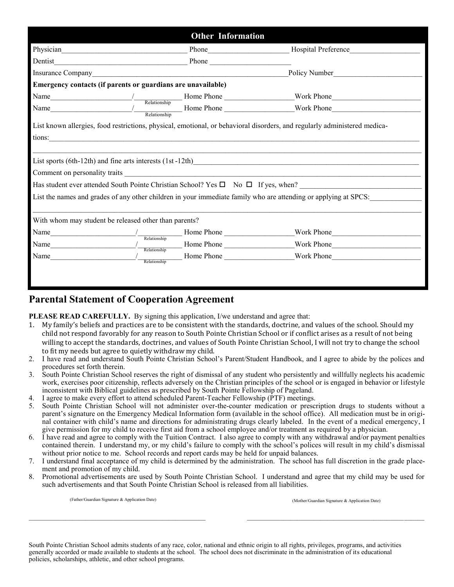| <b>Other Information</b>                                     |                                                                  |                                                                                                                           |  |  |
|--------------------------------------------------------------|------------------------------------------------------------------|---------------------------------------------------------------------------------------------------------------------------|--|--|
|                                                              |                                                                  |                                                                                                                           |  |  |
| Dentist                                                      |                                                                  |                                                                                                                           |  |  |
|                                                              |                                                                  | Policy Number                                                                                                             |  |  |
| Emergency contacts (if parents or guardians are unavailable) |                                                                  |                                                                                                                           |  |  |
|                                                              |                                                                  |                                                                                                                           |  |  |
|                                                              |                                                                  |                                                                                                                           |  |  |
|                                                              | tions:                                                           | List known allergies, food restrictions, physical, emotional, or behavioral disorders, and regularly administered medica- |  |  |
|                                                              |                                                                  | List sports (6th-12th) and fine arts interests (1st-12th)<br><u>List</u> sports (6th-12th)                                |  |  |
|                                                              |                                                                  |                                                                                                                           |  |  |
|                                                              |                                                                  | Has student ever attended South Pointe Christian School? Yes $\square$ No $\square$ If yes, when?                         |  |  |
|                                                              |                                                                  | List the names and grades of any other children in your immediate family who are attending or applying at SPCS:           |  |  |
| With whom may student be released other than parents?        |                                                                  |                                                                                                                           |  |  |
| Name                                                         | Home Phone<br>$\frac{1}{\sqrt{\frac{1}{1-\text{Relationship}}}}$ | Work Phone                                                                                                                |  |  |
| Name                                                         | Home Phone<br>Relationship                                       | Work Phone                                                                                                                |  |  |
| Name                                                         | Relationship                                                     | Mork Phone Floore Entertainment and Mork Phone                                                                            |  |  |
|                                                              |                                                                  |                                                                                                                           |  |  |

#### **Parental Statement of Cooperation Agreement**

**PLEASE READ CAREFULLY.** By signing this application, I/we understand and agree that:

- 1. My family's beliefs and practices are to be consistent with the standards, doctrine, and values of the school. Should my child not respond favorably for any reason to South Pointe Christian School or if conflict arises as a result of not being willing to accept the standards, doctrines, and values of South Pointe Christian School, I will not try to change the school to fit my needs but agree to quietly withdraw my child.
- 2. I have read and understand South Pointe Christian School's Parent/Student Handbook, and I agree to abide by the polices and procedures set forth therein.
- 3. South Pointe Christian School reserves the right of dismissal of any student who persistently and willfully neglects his academic work, exercises poor citizenship, reflects adversely on the Christian principles of the school or is engaged in behavior or lifestyle inconsistent with Biblical guidelines as prescribed by South Pointe Fellowship of Pageland.
- 4. I agree to make every effort to attend scheduled Parent-Teacher Fellowship (PTF) meetings.
- 5. South Pointe Christian School will not administer over-the-counter medication or prescription drugs to students without a parent's signature on the Emergency Medical Information form (available in the school office). All medication must be in original container with child's name and directions for administrating drugs clearly labeled. In the event of a medical emergency, I give permission for my child to receive first aid from a school employee and/or treatment as required by a physician.
- 6. I have read and agree to comply with the Tuition Contract. I also agree to comply with any withdrawal and/or payment penalties contained therein. I understand my, or my child's failure to comply with the school's polices will result in my child's dismissal without prior notice to me. School records and report cards may be held for unpaid balances.
- 7. I understand final acceptance of my child is determined by the administration. The school has full discretion in the grade placement and promotion of my child.
- 8. Promotional advertisements are used by South Pointe Christian School. I understand and agree that my child may be used for such advertisements and that South Pointe Christian School is released from all liabilities.

(Mother/Guardian Signature & Application Date) (Father/Guardian Signature & Application Date)

South Pointe Christian School admits students of any race, color, national and ethnic origin to all rights, privileges, programs, and activities generally accorded or made available to students at the school. The school does not discriminate in the administration of its educational policies, scholarships, athletic, and other school programs.